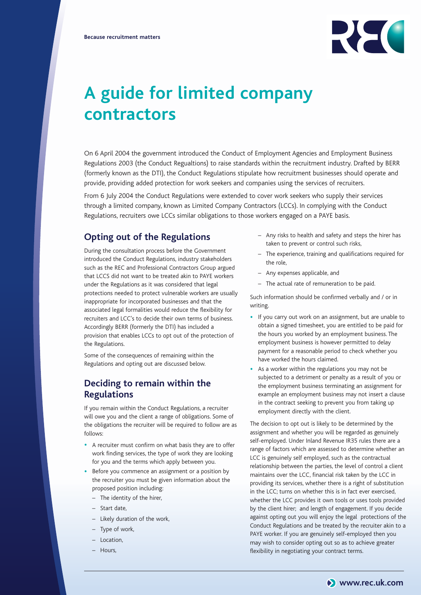

# **A guide for limited company contractors**

On 6 April 2004 the government introduced the Conduct of Employment Agencies and Employment Business Regulations 2003 (the Conduct Regualtions) to raise standards within the recruitment industry. Drafted by BERR (formerly known as the DTI), the Conduct Regulations stipulate how recruitment businesses should operate and provide, providing added protection for work seekers and companies using the services of recruiters.

From 6 July 2004 the Conduct Regulations were extended to cover work seekers who supply their services through a limited company, known as Limited Company Contractors (LCCs). In complying with the Conduct Regulations, recruiters owe LCCs similar obligations to those workers engaged on a PAYE basis.

### **Opting out of the Regulations**

During the consultation process before the Government introduced the Conduct Regulations, industry stakeholders such as the REC and Professional Contractors Group argued that LCCS did not want to be treated akin to PAYE workers under the Regulations as it was considered that legal protections needed to protect vulnerable workers are usually inappropriate for incorporated businesses and that the associated legal formalities would reduce the flexibility for recruiters and LCC's to decide their own terms of business. Accordingly BERR (formerly the DTI) has included a provision that enables LCCs to opt out of the protection of the Regulations.

Some of the consequences of remaining within the Regulations and opting out are discussed below.

# **Deciding to remain within the Regulations**

If you remain within the Conduct Regulations, a recruiter will owe you and the client a range of obligations. Some of the obligations the recruiter will be required to follow are as follows:

- <sup>A</sup> recruiter must confirm on what basis they are to offer work finding services, the type of work they are looking for you and the terms which apply between you.
- Before you commence an assignment or a position by the recruiter you must be given information about the proposed position including:
	- The identity of the hirer,
	- Start date,
	- Likely duration of the work,
	- Type of work,
	- Location,
	- Hours,
- Any risks to health and safety and steps the hirer has taken to prevent or control such risks,
- The experience, training and qualifications required for the role,
- Any expenses applicable, and
- The actual rate of remuneration to be paid.

Such information should be confirmed verbally and / or in writing.

- If you carry out work on an assignment, but are unable to obtain a signed timesheet, you are entitled to be paid for the hours you worked by an employment business. The employment business is however permitted to delay payment for a reasonable period to check whether you have worked the hours claimed.
- As a worker within the regulations you may not be subjected to a detriment or penalty as a result of you or the employment business terminating an assignment for example an employment business may not insert a clause in the contract seeking to prevent you from taking up employment directly with the client.

The decision to opt out is likely to be determined by the assignment and whether you will be regarded as genuinely self-employed. Under Inland Revenue IR35 rules there are a range of factors which are assessed to determine whether an LCC is genuinely self employed, such as the contractual relationship between the parties, the level of control a client maintains over the LCC, financial risk taken by the LCC in providing its services, whether there is a right of substitution in the LCC; turns on whether this is in fact ever exercised, whether the LCC provides it own tools or uses tools provided by the client hirer; and length of engagement. If you decide against opting out you will enjoy the legal protections of the Conduct Regulations and be treated by the recruiter akin to a PAYE worker. If you are genuinely self-employed then you may wish to consider opting out so as to achieve greater flexibility in negotiating your contract terms.